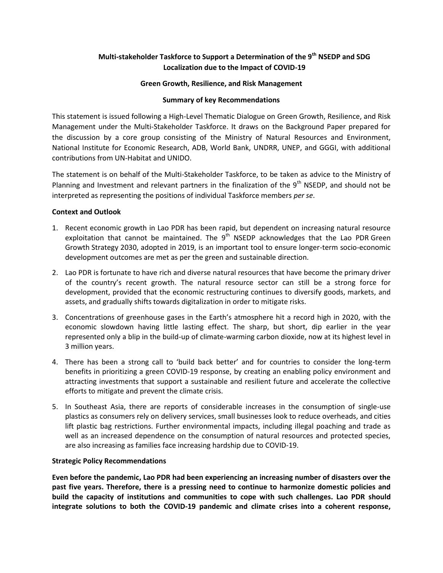# **Multi-stakeholder Taskforce to Support a Determination of the 9th NSEDP and SDG Localization due to the Impact of COVID-19**

## **Green Growth, Resilience, and Risk Management**

#### **Summary of key Recommendations**

This statement is issued following a High-Level Thematic Dialogue on Green Growth, Resilience, and Risk Management under the Multi-Stakeholder Taskforce. It draws on the Background Paper prepared for the discussion by a core group consisting of the Ministry of Natural Resources and Environment, National Institute for Economic Research, ADB, World Bank, UNDRR, UNEP, and GGGI, with additional contributions from UN-Habitat and UNIDO.

The statement is on behalf of the Multi-Stakeholder Taskforce, to be taken as advice to the Ministry of Planning and Investment and relevant partners in the finalization of the  $9<sup>th</sup>$  NSEDP, and should not be interpreted as representing the positions of individual Taskforce members *per se*.

## **Context and Outlook**

- 1. Recent economic growth in Lao PDR has been rapid, but dependent on increasing natural resource exploitation that cannot be maintained. The  $9<sup>th</sup>$  NSEDP acknowledges that the Lao PDR Green Growth Strategy 2030, adopted in 2019, is an important tool to ensure longer-term socio-economic development outcomes are met as per the green and sustainable direction.
- 2. Lao PDR is fortunate to have rich and diverse natural resources that have become the primary driver of the country's recent growth. The natural resource sector can still be a strong force for development, provided that the economic restructuring continues to diversify goods, markets, and assets, and gradually shifts towards digitalization in order to mitigate risks.
- 3. Concentrations of greenhouse gases in the Earth's atmosphere hit a record high in 2020, with the economic slowdown having little lasting effect. The sharp, but short, dip earlier in the year represented only a blip in the build-up of climate-warming carbon dioxide, now at its highest level in 3 million years.
- 4. There has been a strong call to 'build back better' and for countries to consider the long-term benefits in prioritizing a green COVID-19 response, by creating an enabling policy environment and attracting investments that support a sustainable and resilient future and accelerate the collective efforts to mitigate and prevent the climate crisis.
- 5. In Southeast Asia, there are reports of considerable increases in the consumption of single-use plastics as consumers rely on delivery services, small businesses look to reduce overheads, and cities lift plastic bag restrictions. Further environmental impacts, including illegal poaching and trade as well as an increased dependence on the consumption of natural resources and protected species, are also increasing as families face increasing hardship due to COVID-19.

## **Strategic Policy Recommendations**

**Even before the pandemic, Lao PDR had been experiencing an increasing number of disasters over the past five years. Therefore, there is a pressing need to continue to harmonize domestic policies and build the capacity of institutions and communities to cope with such challenges. Lao PDR should integrate solutions to both the COVID-19 pandemic and climate crises into a coherent response,**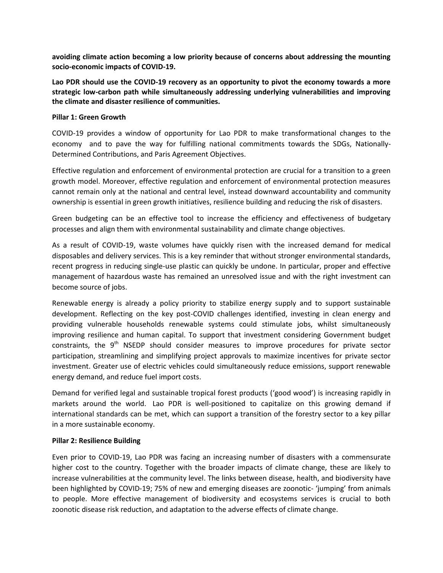**avoiding climate action becoming a low priority because of concerns about addressing the mounting socio-economic impacts of COVID-19.**

**Lao PDR should use the COVID-19 recovery as an opportunity to pivot the economy towards a more strategic low-carbon path while simultaneously addressing underlying vulnerabilities and improving the climate and disaster resilience of communities.**

#### **Pillar 1: Green Growth**

COVID-19 provides a window of opportunity for Lao PDR to make transformational changes to the economy and to pave the way for fulfilling national commitments towards the SDGs, Nationally-Determined Contributions, and Paris Agreement Objectives.

Effective regulation and enforcement of environmental protection are crucial for a transition to a green growth model. Moreover, effective regulation and enforcement of environmental protection measures cannot remain only at the national and central level, instead downward accountability and community ownership is essential in green growth initiatives, resilience building and reducing the risk of disasters.

Green budgeting can be an effective tool to increase the efficiency and effectiveness of budgetary processes and align them with environmental sustainability and climate change objectives.

As a result of COVID-19, waste volumes have quickly risen with the increased demand for medical disposables and delivery services. This is a key reminder that without stronger environmental standards, recent progress in reducing single-use plastic can quickly be undone. In particular, proper and effective management of hazardous waste has remained an unresolved issue and with the right investment can become source of jobs.

Renewable energy is already a policy priority to stabilize energy supply and to support sustainable development. Reflecting on the key post-COVID challenges identified, investing in clean energy and providing vulnerable households renewable systems could stimulate jobs, whilst simultaneously improving resilience and human capital. To support that investment considering Government budget constraints, the 9<sup>th</sup> NSEDP should consider measures to improve procedures for private sector participation, streamlining and simplifying project approvals to maximize incentives for private sector investment. Greater use of electric vehicles could simultaneously reduce emissions, support renewable energy demand, and reduce fuel import costs.

Demand for verified legal and sustainable tropical forest products ('good wood') is increasing rapidly in markets around the world. Lao PDR is well-positioned to capitalize on this growing demand if international standards can be met, which can support a transition of the forestry sector to a key pillar in a more sustainable economy.

## **Pillar 2: Resilience Building**

Even prior to COVID-19, Lao PDR was facing an increasing number of disasters with a commensurate higher cost to the country. Together with the broader impacts of climate change, these are likely to increase vulnerabilities at the community level. The links between disease, health, and biodiversity have been highlighted by COVID-19; 75% of new and emerging diseases are zoonotic- 'jumping' from animals to people. More effective management of biodiversity and ecosystems services is crucial to both zoonotic disease risk reduction, and adaptation to the adverse effects of climate change.